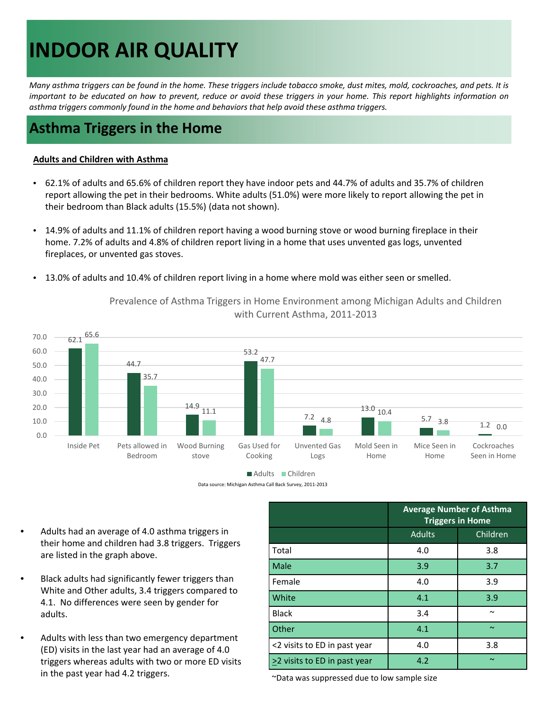# **INDOOR AIR QUALITY**

Many asthma triggers can be found in the home. These triggers include tobacco smoke, dust mites, mold, cockroaches, and pets. It is important to be educated on how to prevent, reduce or avoid these triggers in your home. This report highlights information on *asthma triggers commonly found in the home and behaviors that help avoid these asthma triggers.*

### **Asthma Triggers in the Home**

#### **Adults and Children with Asthma**

- • 62.1% of adults and 65.6% of children report they have indoor pets and 44.7% of adults and 35.7% of children report allowing the pet in their bedrooms. White adults (51.0%) were more likely to report allowing the pet in their bedroom than Black adults (15.5%) (data not shown).
- • 14.9% of adults and 11.1% of children report having a wood burning stove or wood burning fireplace in their home. 7.2% of adults and 4.8% of children report living in a home that uses unvented gas logs, unvented fireplaces, or unvented gas stoves.
- • 13.0% of adults and 10.4% of children report living in a home where mold was either seen or smelled.



 Prevalence of Asthma Triggers in Home Environment among Michigan Adults and Children with Current Asthma, 2011‐2013

Adults Children

Data source: Michigan Asthma Call Back Survey, 2011‐2013

- • Adults had an average of 4.0 asthma triggers in their home and children had 3.8 triggers. Triggers are listed in the graph above.
- • Black adults had significantly fewer triggers than White and Other adults, 3.4 triggers compared to 4.1. No differences were seen by gender for adults.
- • Adults with less than two emergency department (ED) visits in the last year had an average of 4.0 triggers whereas adults with two or more ED visits in the past year had 4.2 triggers. in the past year had 4.2 triggers.  $\overline{C}$  bata was suppressed due to low sample size

|                                  | <b>Average Number of Asthma</b><br><b>Triggers in Home</b> |          |
|----------------------------------|------------------------------------------------------------|----------|
|                                  | <b>Adults</b>                                              | Children |
| Total                            | 4.0                                                        | 3.8      |
| Male                             | 3.9                                                        | 3.7      |
| l Female                         | 4.0                                                        | 3.9      |
| <b>White</b>                     | 4.1                                                        | 3.9      |
| l Black                          | 3.4                                                        | $\sim$   |
| <b>Other</b>                     | 4.1                                                        | $\sim$   |
| <2 visits to ED in past year     | 4.0                                                        | 3.8      |
| $\geq$ visits to ED in past year | 4.2                                                        | $\sim$   |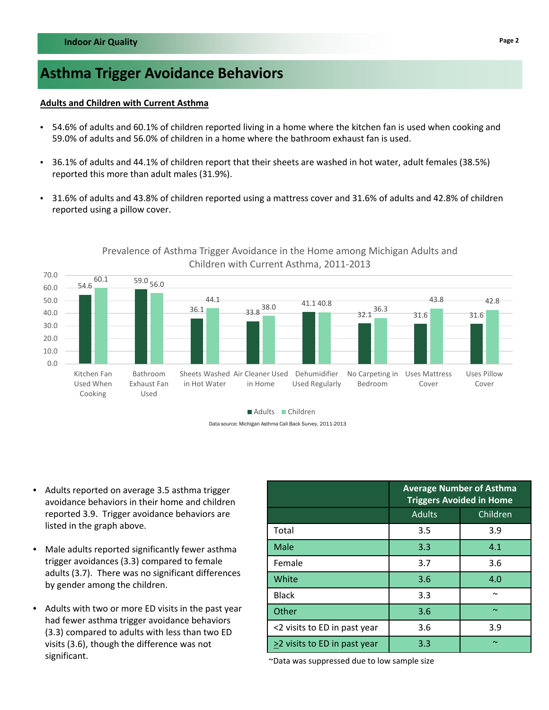## **Asthma Trigger Avoidance Behaviors**

#### **Adults and Children with Current Asthma**

- • 54.6% of adults and 60.1% of children reported living in a home where the kitchen fan is used when cooking and 59.0% of adults and 56.0% of children in a home where the bathroom exhaust fan is used.
- • 36.1% of adults and 44.1% of children report that their sheets are washed in hot water, adult females (38.5%) reported this more than adult males (31.9%).
- • 31.6% of adults and 43.8% of children reported using a mattress cover and 31.6% of adults and 42.8% of children reported using a pillow cover.



### Prevalence of Asthma Trigger Avoidance in the Home among Michigan Adults and Children with Current Asthma, 2011‐2013

Data source: Michigan Asthma Call Back Survey, 2011-2013

- • Adults reported on average 3.5 asthma trigger avoidance behaviors in their home and children reported 3.9. Trigger avoidance behaviors are listed in the graph above.
- Male adults reported significantly fewer asthma trigger avoidances (3.3) compared to female adults (3.7). There was no significant differences by gender among the children.
- • Adults with two or more ED visits in the past year had fewer asthma trigger avoidance behaviors (3.3) compared to adults with less than two ED visits (3.6), though the difference was not ~Data was suppressed due to low sample size significant.

|                              | <b>Average Number of Asthma</b><br><b>Triggers Avoided in Home</b> |            |
|------------------------------|--------------------------------------------------------------------|------------|
|                              | <b>Adults</b>                                                      | Children   |
| Total                        | 3.5                                                                | 3.9        |
| Male                         | 3.3                                                                | 4.1        |
| Female                       | 3.7                                                                | 3.6        |
| White                        | 3.6                                                                | 4.0        |
| <b>Black</b>                 | 3.3                                                                | $\tilde{}$ |
| Other                        | 3.6                                                                | $\sim$     |
| <2 visits to ED in past year | 3.6                                                                | 3.9        |
| >2 visits to ED in past year | 3.3                                                                | $\sim$     |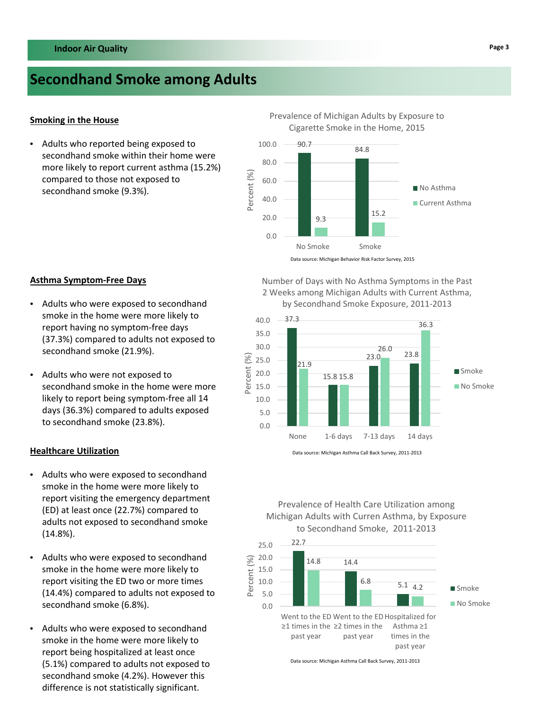### **Secondhand Smoke among Adults**

#### **Smoking in the House**

 • Adults who reported being exposed to secondhand smoke within their home were more likely to report current asthma (15.2%) compared to those not exposed to secondhand smoke (9.3%).

 Prevalence of Michigan Adults by Exposure to Cigarette Smoke in the Home, 2015



 Number of Days with No Asthma Symptoms in the Past 2 Weeks among Michigan Adults with Current Asthma, by Secondhand Smoke Exposure, 2011‐2013



Data source: Michigan Asthma Call Back Survey, 2011‐2013

 Prevalence of Health Care Utilization among Michigan Adults with Curren Asthma, by Exposure to Secondhand Smoke, 2011‐2013



Data source: Michigan Asthma Call Back Survey, 2011‐2013

#### **Asthma Symptom‐Free Days**

- • Adults who were exposed to secondhand smoke in the home were more likely to report having no symptom‐free days (37.3%) compared to adults not exposed to secondhand smoke (21.9%).
- • Adults who were not exposed to secondhand smoke in the home were more likely to report being symptom‐free all 14 days (36.3%) compared to adults exposed to secondhand smoke (23.8%).

#### **Healthcare Utilization**

- • Adults who were exposed to secondhand smoke in the home were more likely to report visiting the emergency department (ED) at least once (22.7%) compared to adults not exposed to secondhand smoke (14.8%).
- • Adults who were exposed to secondhand smoke in the home were more likely to report visiting the ED two or more times (14.4%) compared to adults not exposed to secondhand smoke (6.8%).
- • Adults who were exposed to secondhand smoke in the home were more likely to report being hospitalized at least once (5.1%) compared to adults not exposed to secondhand smoke (4.2%). However this difference is not statistically significant.